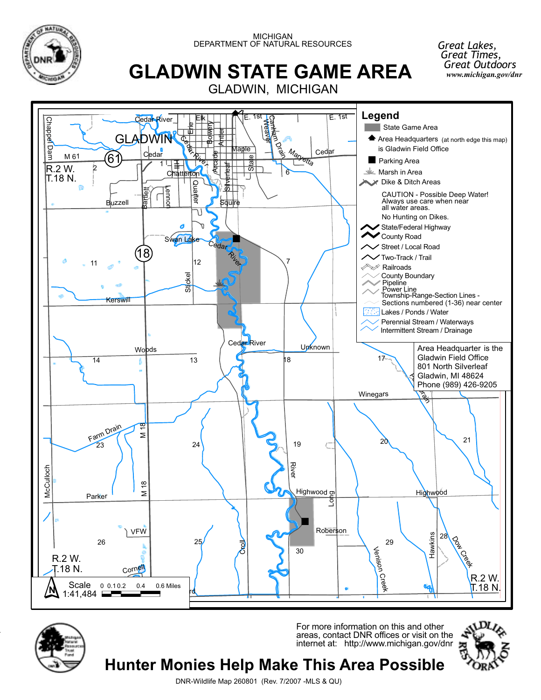

MICHIGAN DEPARTMENT OF NATURAL RESOURCES

# **GLADWIN STATE GAME AREA**

GLADWIN, MICHIGAN





-

For more information on this and other areas, contact DNR offices or visit on the internet at: http://www.michigan.gov/dnr



*Great Lakes, Great Times, Great Outdoors*

*www.michigan.gov/dnr*

DNR-Wildlife Map 260801 (Rev. 7/2007 -MLS & QU)

**Hunter Monies Help Make This Area Possible**